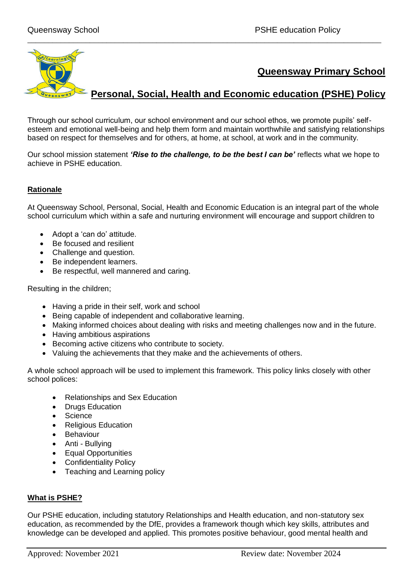

\_\_\_\_\_\_\_\_\_\_\_\_\_\_\_\_\_\_\_\_\_\_\_\_\_\_\_\_\_\_\_\_\_\_\_\_\_\_\_\_\_\_\_\_\_\_\_\_\_\_\_\_\_\_\_\_\_\_\_\_\_\_\_\_\_\_\_\_\_\_\_\_\_\_\_\_\_\_\_\_\_\_\_\_\_

Through our school curriculum, our school environment and our school ethos, we promote pupils' selfesteem and emotional well-being and help them form and maintain worthwhile and satisfying relationships based on respect for themselves and for others, at home, at school, at work and in the community.

Our school mission statement *'Rise to the challenge, to be the best I can be'* reflects what we hope to achieve in PSHE education.

# **Rationale**

At Queensway School, Personal, Social, Health and Economic Education is an integral part of the whole school curriculum which within a safe and nurturing environment will encourage and support children to

- Adopt a 'can do' attitude.
- Be focused and resilient
- Challenge and question.
- Be independent learners.
- Be respectful, well mannered and caring.

Resulting in the children;

- Having a pride in their self, work and school
- Being capable of independent and collaborative learning.
- Making informed choices about dealing with risks and meeting challenges now and in the future.
- Having ambitious aspirations
- Becoming active citizens who contribute to society.
- Valuing the achievements that they make and the achievements of others.

A whole school approach will be used to implement this framework. This policy links closely with other school polices:

- Relationships and Sex Education
- Drugs Education
- **Science**
- Religious Education
- Behaviour
- Anti Bullying
- Equal Opportunities
- Confidentiality Policy
- Teaching and Learning policy

#### **What is PSHE?**

Our PSHE education, including statutory Relationships and Health education, and non-statutory sex education, as recommended by the DfE, provides a framework though which key skills, attributes and knowledge can be developed and applied. This promotes positive behaviour, good mental health and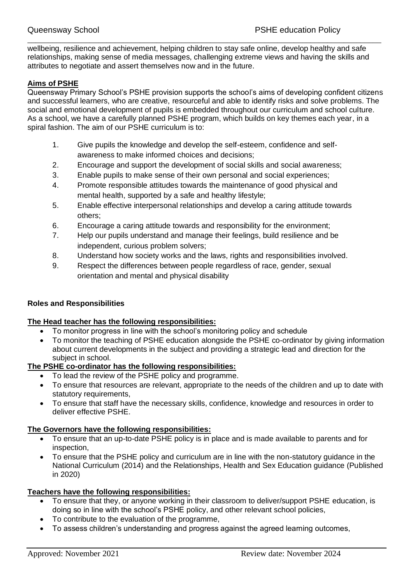wellbeing, resilience and achievement, helping children to stay safe online, develop healthy and safe relationships, making sense of media messages, challenging extreme views and having the skills and attributes to negotiate and assert themselves now and in the future.

\_\_\_\_\_\_\_\_\_\_\_\_\_\_\_\_\_\_\_\_\_\_\_\_\_\_\_\_\_\_\_\_\_\_\_\_\_\_\_\_\_\_\_\_\_\_\_\_\_\_\_\_\_\_\_\_\_\_\_\_\_\_\_\_\_\_\_\_\_\_\_\_\_\_\_\_\_\_\_\_\_\_\_\_\_

# **Aims of PSHE**

Queensway Primary School's PSHE provision supports the school's aims of developing confident citizens and successful learners, who are creative, resourceful and able to identify risks and solve problems. The social and emotional development of pupils is embedded throughout our curriculum and school culture. As a school, we have a carefully planned PSHE program, which builds on key themes each year, in a spiral fashion. The aim of our PSHE curriculum is to:

- 1. Give pupils the knowledge and develop the self-esteem, confidence and selfawareness to make informed choices and decisions;
- 2. Encourage and support the development of social skills and social awareness;
- 3. Enable pupils to make sense of their own personal and social experiences;
- 4. Promote responsible attitudes towards the maintenance of good physical and mental health, supported by a safe and healthy lifestyle;
- 5. Enable effective interpersonal relationships and develop a caring attitude towards others;
- 6. Encourage a caring attitude towards and responsibility for the environment;
- 7. Help our pupils understand and manage their feelings, build resilience and be independent, curious problem solvers;
- 8. Understand how society works and the laws, rights and responsibilities involved.
- 9. Respect the differences between people regardless of race, gender, sexual orientation and mental and physical disability

#### **Roles and Responsibilities**

#### **The Head teacher has the following responsibilities:**

- To monitor progress in line with the school's monitoring policy and schedule
- To monitor the teaching of PSHE education alongside the PSHE co-ordinator by giving information about current developments in the subject and providing a strategic lead and direction for the subject in school.

#### **The PSHE co-ordinator has the following responsibilities:**

- To lead the review of the PSHE policy and programme.
- To ensure that resources are relevant, appropriate to the needs of the children and up to date with statutory requirements,
- To ensure that staff have the necessary skills, confidence, knowledge and resources in order to deliver effective PSHE.

#### **The Governors have the following responsibilities:**

- To ensure that an up-to-date PSHE policy is in place and is made available to parents and for inspection,
- To ensure that the PSHE policy and curriculum are in line with the non-statutory guidance in the National Curriculum (2014) and the Relationships, Health and Sex Education guidance (Published in 2020)

#### **Teachers have the following responsibilities:**

- To ensure that they, or anyone working in their classroom to deliver/support PSHE education, is doing so in line with the school's PSHE policy, and other relevant school policies,
- To contribute to the evaluation of the programme,
- To assess children's understanding and progress against the agreed learning outcomes,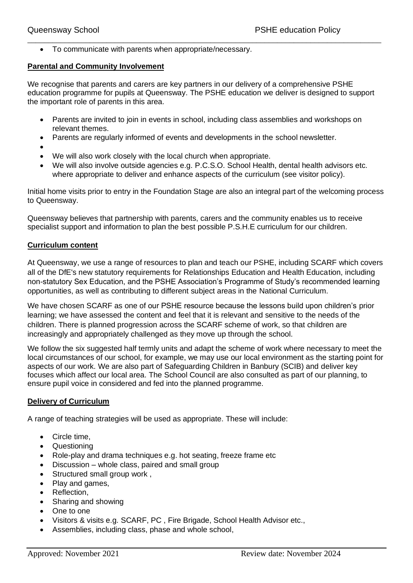• To communicate with parents when appropriate/necessary.

#### **Parental and Community Involvement**

We recognise that parents and carers are key partners in our delivery of a comprehensive PSHE education programme for pupils at Queensway. The PSHE education we deliver is designed to support the important role of parents in this area.

\_\_\_\_\_\_\_\_\_\_\_\_\_\_\_\_\_\_\_\_\_\_\_\_\_\_\_\_\_\_\_\_\_\_\_\_\_\_\_\_\_\_\_\_\_\_\_\_\_\_\_\_\_\_\_\_\_\_\_\_\_\_\_\_\_\_\_\_\_\_\_\_\_\_\_\_\_\_\_\_\_\_\_\_\_

- Parents are invited to join in events in school, including class assemblies and workshops on relevant themes.
- Parents are regularly informed of events and developments in the school newsletter.
- •
- We will also work closely with the local church when appropriate.
- We will also involve outside agencies e.g. P.C.S.O. School Health, dental health advisors etc. where appropriate to deliver and enhance aspects of the curriculum (see visitor policy).

Initial home visits prior to entry in the Foundation Stage are also an integral part of the welcoming process to Queensway.

Queensway believes that partnership with parents, carers and the community enables us to receive specialist support and information to plan the best possible P.S.H.E curriculum for our children.

#### **Curriculum content**

At Queensway, we use a range of resources to plan and teach our PSHE, including SCARF which covers all of the DfE's new statutory requirements for Relationships Education and Health Education, including non-statutory Sex Education, and the PSHE Association's Programme of Study's recommended learning opportunities, as well as contributing to different subject areas in the [National Curriculum.](https://www.coramlifeeducation.org.uk/scarf/national-curriculum/)

We have chosen SCARF as one of our PSHE resource because the lessons build upon children's prior learning; we have assessed the content and feel that it is relevant and sensitive to the needs of the children. There is planned progression across the SCARF scheme of work, so that children are increasingly and appropriately challenged as they move up through the school.

We follow the six suggested half termly units and adapt the scheme of work where necessary to meet the local circumstances of our school, for example, we may use our local environment as the starting point for aspects of our work. We are also part of Safeguarding Children in Banbury (SCIB) and deliver key focuses which affect our local area. The School Council are also consulted as part of our planning, to ensure pupil voice in considered and fed into the planned programme.

#### **Delivery of Curriculum**

A range of teaching strategies will be used as appropriate. These will include:

- Circle time,
- Questioning
- Role-play and drama techniques e.g. hot seating, freeze frame etc
- Discussion whole class, paired and small group
- Structured small group work ,
- Play and games,
- Reflection,
- Sharing and showing
- One to one
- Visitors & visits e.g. SCARF, PC , Fire Brigade, School Health Advisor etc.,
- Assemblies, including class, phase and whole school,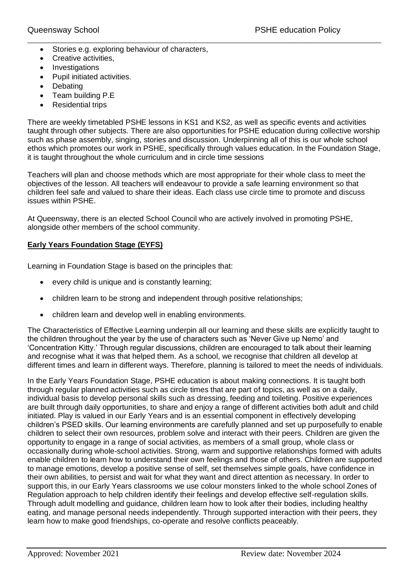- Stories e.g. exploring behaviour of characters,
- Creative activities,
- Investigations
- Pupil initiated activities.
- Debating
- Team building P.E
- Residential trips

There are weekly timetabled PSHE lessons in KS1 and KS2, as well as specific events and activities taught through other subjects. There are also opportunities for PSHE education during collective worship such as phase assembly, singing, stories and discussion. Underpinning all of this is our whole school ethos which promotes our work in PSHE, specifically through values education. In the Foundation Stage, it is taught throughout the whole curriculum and in circle time sessions

\_\_\_\_\_\_\_\_\_\_\_\_\_\_\_\_\_\_\_\_\_\_\_\_\_\_\_\_\_\_\_\_\_\_\_\_\_\_\_\_\_\_\_\_\_\_\_\_\_\_\_\_\_\_\_\_\_\_\_\_\_\_\_\_\_\_\_\_\_\_\_\_\_\_\_\_\_\_\_\_\_\_\_\_\_

Teachers will plan and choose methods which are most appropriate for their whole class to meet the objectives of the lesson. All teachers will endeavour to provide a safe learning environment so that children feel safe and valued to share their ideas. Each class use circle time to promote and discuss issues within PSHE.

At Queensway, there is an elected School Council who are actively involved in promoting PSHE, alongside other members of the school community.

## **Early Years Foundation Stage (EYFS)**

Learning in Foundation Stage is based on the principles that:

- every child is unique and is constantly learning;
- children learn to be strong and independent through positive relationships;
- children learn and develop well in enabling environments.

The Characteristics of Effective Learning underpin all our learning and these skills are explicitly taught to the children throughout the year by the use of characters such as 'Never Give up Nemo' and 'Concentration Kitty.' Through regular discussions, children are encouraged to talk about their learning and recognise what it was that helped them. As a school, we recognise that children all develop at different times and learn in different ways. Therefore, planning is tailored to meet the needs of individuals.

In the Early Years Foundation Stage, PSHE education is about making connections. It is taught both through regular planned activities such as circle times that are part of topics, as well as on a daily, individual basis to develop personal skills such as dressing, feeding and toileting. Positive experiences are built through daily opportunities, to share and enjoy a range of different activities both adult and child initiated. Play is valued in our Early Years and is an essential component in effectively developing children's PSED skills. Our learning environments are carefully planned and set up purposefully to enable children to select their own resources, problem solve and interact with their peers. Children are given the opportunity to engage in a range of social activities, as members of a small group, whole class or occasionally during whole-school activities. Strong, warm and supportive relationships formed with adults enable children to learn how to understand their own feelings and those of others. Children are supported to manage emotions, develop a positive sense of self, set themselves simple goals, have confidence in their own abilities, to persist and wait for what they want and direct attention as necessary. In order to support this, in our Early Years classrooms we use colour monsters linked to the whole school Zones of Regulation approach to help children identify their feelings and develop effective self-regulation skills. Through adult modelling and guidance, children learn how to look after their bodies, including healthy eating, and manage personal needs independently. Through supported interaction with their peers, they learn how to make good friendships, co-operate and resolve conflicts peaceably.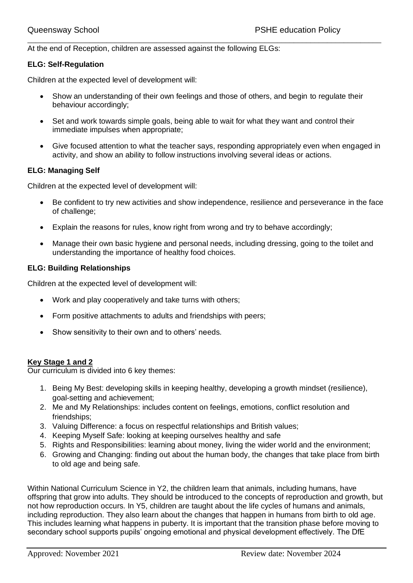At the end of Reception, children are assessed against the following ELGs:

#### **ELG: Self-Regulation**

Children at the expected level of development will:

• Show an understanding of their own feelings and those of others, and begin to regulate their behaviour accordingly;

\_\_\_\_\_\_\_\_\_\_\_\_\_\_\_\_\_\_\_\_\_\_\_\_\_\_\_\_\_\_\_\_\_\_\_\_\_\_\_\_\_\_\_\_\_\_\_\_\_\_\_\_\_\_\_\_\_\_\_\_\_\_\_\_\_\_\_\_\_\_\_\_\_\_\_\_\_\_\_\_\_\_\_\_\_

- Set and work towards simple goals, being able to wait for what they want and control their immediate impulses when appropriate;
- Give focused attention to what the teacher says, responding appropriately even when engaged in activity, and show an ability to follow instructions involving several ideas or actions.

## **ELG: Managing Self**

Children at the expected level of development will:

- Be confident to try new activities and show independence, resilience and perseverance in the face of challenge;
- Explain the reasons for rules, know right from wrong and try to behave accordingly;
- Manage their own basic hygiene and personal needs, including dressing, going to the toilet and understanding the importance of healthy food choices.

#### **ELG: Building Relationships**

Children at the expected level of development will:

- Work and play cooperatively and take turns with others;
- Form positive attachments to adults and friendships with peers;
- Show sensitivity to their own and to others' needs.

#### **Key Stage 1 and 2**

Our curriculum is divided into 6 key themes:

- 1. Being My Best: developing skills in keeping healthy, developing a growth mindset (resilience), goal-setting and achievement;
- 2. Me and My Relationships: includes content on feelings, emotions, conflict resolution and friendships;
- 3. Valuing Difference: a focus on respectful relationships and British values;
- 4. Keeping Myself Safe: looking at keeping ourselves healthy and safe
- 5. Rights and Responsibilities: learning about money, living the wider world and the environment;
- 6. Growing and Changing: finding out about the human body, the changes that take place from birth to old age and being safe.

Within National Curriculum Science in Y2, the children learn that animals, including humans, have offspring that grow into adults. They should be introduced to the concepts of reproduction and growth, but not how reproduction occurs. In Y5, children are taught about the life cycles of humans and animals, including reproduction. They also learn about the changes that happen in humans from birth to old age. This includes learning what happens in puberty. It is important that the transition phase before moving to secondary school supports pupils' ongoing emotional and physical development effectively. The DfE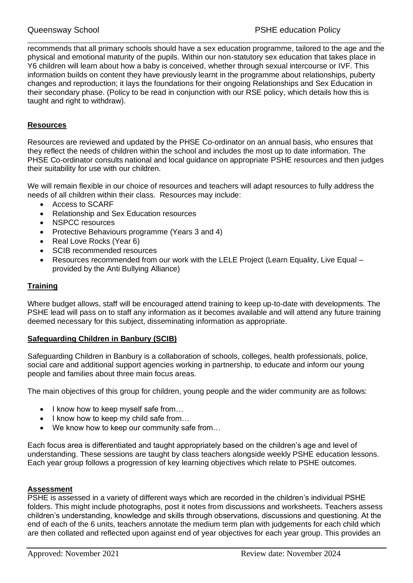recommends that all primary schools should have a sex education programme, tailored to the age and the physical and emotional maturity of the pupils. Within our non-statutory sex education that takes place in Y6 children will learn about how a baby is conceived, whether through sexual intercourse or IVF. This information builds on content they have previously learnt in the programme about relationships, puberty changes and reproduction; it lays the foundations for their ongoing Relationships and Sex Education in their secondary phase. (Policy to be read in conjunction with our RSE policy, which details how this is taught and right to withdraw).

\_\_\_\_\_\_\_\_\_\_\_\_\_\_\_\_\_\_\_\_\_\_\_\_\_\_\_\_\_\_\_\_\_\_\_\_\_\_\_\_\_\_\_\_\_\_\_\_\_\_\_\_\_\_\_\_\_\_\_\_\_\_\_\_\_\_\_\_\_\_\_\_\_\_\_\_\_\_\_\_\_\_\_\_\_

## **Resources**

Resources are reviewed and updated by the PHSE Co-ordinator on an annual basis, who ensures that they reflect the needs of children within the school and includes the most up to date information. The PHSE Co-ordinator consults national and local guidance on appropriate PSHE resources and then judges their suitability for use with our children.

We will remain flexible in our choice of resources and teachers will adapt resources to fully address the needs of all children within their class. Resources may include:

- Access to SCARF
- Relationship and Sex Education resources
- NSPCC resources
- Protective Behaviours programme (Years 3 and 4)
- Real Love Rocks (Year 6)
- SCIB recommended resources
- Resources recommended from our work with the LELE Project (Learn Equality, Live Equal provided by the Anti Bullying Alliance)

#### **Training**

Where budget allows, staff will be encouraged attend training to keep up-to-date with developments. The PSHE lead will pass on to staff any information as it becomes available and will attend any future training deemed necessary for this subject, disseminating information as appropriate.

#### **Safeguarding Children in Banbury (SCIB)**

Safeguarding Children in Banbury is a collaboration of schools, colleges, health professionals, police, social care and additional support agencies working in partnership, to educate and inform our young people and families about three main focus areas.

The main objectives of this group for children, young people and the wider community are as follows:

- I know how to keep myself safe from...
- I know how to keep my child safe from...
- We know how to keep our community safe from...

Each focus area is differentiated and taught appropriately based on the children's age and level of understanding. These sessions are taught by class teachers alongside weekly PSHE education lessons. Each year group follows a progression of key learning objectives which relate to PSHE outcomes.

#### **Assessment**

PSHE is assessed in a variety of different ways which are recorded in the children's individual PSHE folders. This might include photographs, post it notes from discussions and worksheets. Teachers assess children's understanding, knowledge and skills through observations, discussions and questioning. At the end of each of the 6 units, teachers annotate the medium term plan with judgements for each child which are then collated and reflected upon against end of year objectives for each year group. This provides an